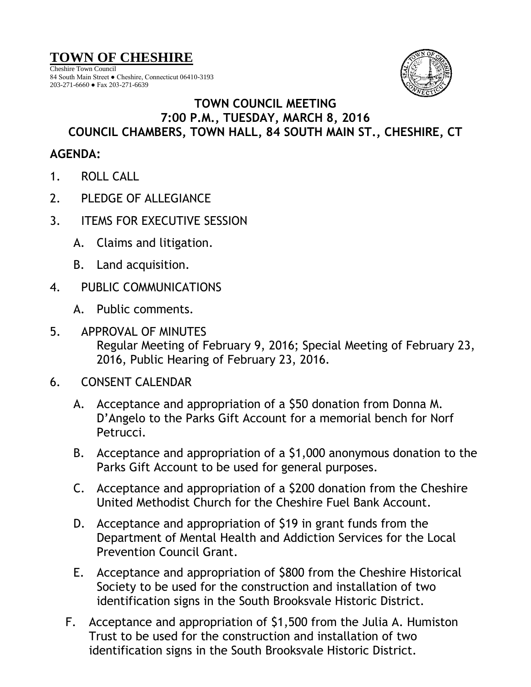## **TOWN OF CHESHIRE**

Cheshire Town Council 84 South Main Street ● Cheshire, Connecticut 06410-3193 203-271-6660 ● Fax 203-271-6639



## **TOWN COUNCIL MEETING 7:00 P.M., TUESDAY, MARCH 8, 2016 COUNCIL CHAMBERS, TOWN HALL, 84 SOUTH MAIN ST., CHESHIRE, CT**

## **AGENDA:**

- 1. ROLL CALL
- 2. PLEDGE OF ALLEGIANCE
- 3. ITEMS FOR EXECUTIVE SESSION
	- A. Claims and litigation.
	- B. Land acquisition.
- 4. PUBLIC COMMUNICATIONS
	- A. Public comments.
- 5. APPROVAL OF MINUTES Regular Meeting of February 9, 2016; Special Meeting of February 23, 2016, Public Hearing of February 23, 2016.
- 6. CONSENT CALENDAR
	- A. Acceptance and appropriation of a \$50 donation from Donna M. D'Angelo to the Parks Gift Account for a memorial bench for Norf Petrucci.
	- B. Acceptance and appropriation of a \$1,000 anonymous donation to the Parks Gift Account to be used for general purposes.
	- C. Acceptance and appropriation of a \$200 donation from the Cheshire United Methodist Church for the Cheshire Fuel Bank Account.
	- D. Acceptance and appropriation of \$19 in grant funds from the Department of Mental Health and Addiction Services for the Local Prevention Council Grant.
	- E. Acceptance and appropriation of \$800 from the Cheshire Historical Society to be used for the construction and installation of two identification signs in the South Brooksvale Historic District.
	- F. Acceptance and appropriation of \$1,500 from the Julia A. Humiston Trust to be used for the construction and installation of two identification signs in the South Brooksvale Historic District.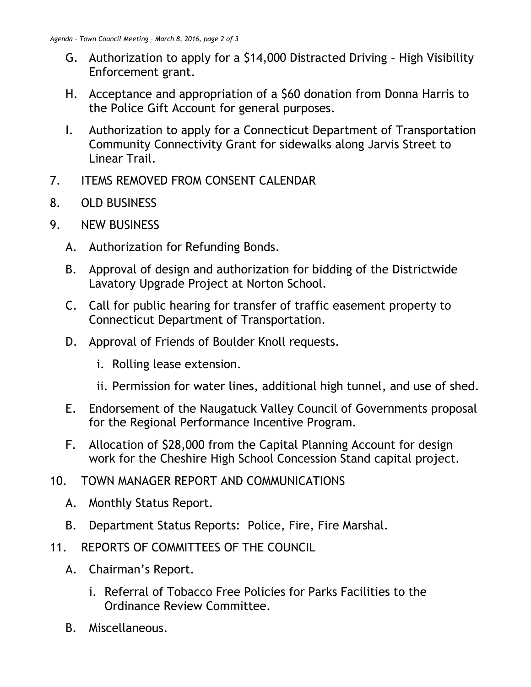- G. Authorization to apply for a \$14,000 Distracted Driving High Visibility Enforcement grant.
- H. Acceptance and appropriation of a \$60 donation from Donna Harris to the Police Gift Account for general purposes.
- I. Authorization to apply for a Connecticut Department of Transportation Community Connectivity Grant for sidewalks along Jarvis Street to Linear Trail.
- 7. ITEMS REMOVED FROM CONSENT CALENDAR
- 8. OLD BUSINESS
- 9. NEW BUSINESS
	- A. Authorization for Refunding Bonds.
	- B. Approval of design and authorization for bidding of the Districtwide Lavatory Upgrade Project at Norton School.
	- C. Call for public hearing for transfer of traffic easement property to Connecticut Department of Transportation.
	- D. Approval of Friends of Boulder Knoll requests.
		- i. Rolling lease extension.
		- ii. Permission for water lines, additional high tunnel, and use of shed.
	- E. Endorsement of the Naugatuck Valley Council of Governments proposal for the Regional Performance Incentive Program.
	- F. Allocation of \$28,000 from the Capital Planning Account for design work for the Cheshire High School Concession Stand capital project.
- 10. TOWN MANAGER REPORT AND COMMUNICATIONS
	- A. Monthly Status Report.
	- B. Department Status Reports: Police, Fire, Fire Marshal.
- 11. REPORTS OF COMMITTEES OF THE COUNCIL
	- A. Chairman's Report.
		- i. Referral of Tobacco Free Policies for Parks Facilities to the Ordinance Review Committee.
	- B. Miscellaneous.